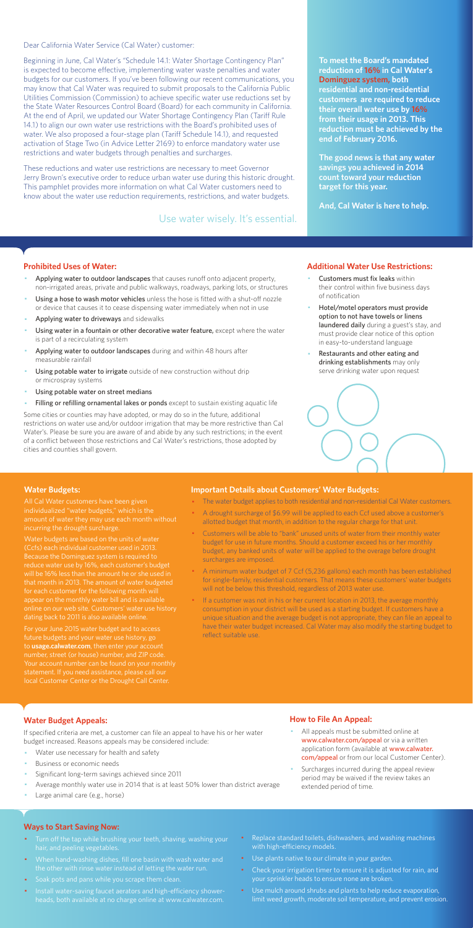Dear California Water Service (Cal Water) customer:

Beginning in June, Cal Water's "Schedule 14.1: Water Shortage Contingency Plan" is expected to become effective, implementing water waste penalties and water budgets for our customers. If you've been following our recent communications, you may know that Cal Water was required to submit proposals to the California Public Utilities Commission (Commission) to achieve specific water use reductions set by the State Water Resources Control Board (Board) for each community in California. At the end of April, we updated our Water Shortage Contingency Plan (Tariff Rule 14.1) to align our own water use restrictions with the Board's prohibited uses of water. We also proposed a four-stage plan (Tariff Schedule 14.1), and requested activation of Stage Two (in Advice Letter 2169) to enforce mandatory water use restrictions and water budgets through penalties and surcharges.

These reductions and water use restrictions are necessary to meet Governor Jerry Brown's executive order to reduce urban water use during this historic drought. This pamphlet provides more information on what Cal Water customers need to know about the water use reduction requirements, restrictions, and water budgets.

#### **Prohibited Uses of Water:**

- Applying water to outdoor landscapes that causes runoff onto adjacent property, non-irrigated areas, private and public walkways, roadways, parking lots, or structures
- Using a hose to wash motor vehicles unless the hose is fitted with a shut-off nozzle or device that causes it to cease dispensing water immediately when not in use
- Applying water to driveways and sidewalks
- Using water in a fountain or other decorative water feature, except where the water is part of a recirculating system
- Applying water to outdoor landscapes during and within 48 hours after measurable rainfall
- Using potable water to irrigate outside of new construction without drip or microspray systems
- Using potable water on street medians
- Filling or refilling ornamental lakes or ponds except to sustain existing aquatic life
- Customers must fix leaks within their control within five business days of notification
- Hotel/motel operators must provide option to not have towels or linens laundered daily during a guest's stay, and must provide clear notice of this option in easy-to-understand language
- Restaurants and other eating and drinking establishments may only serve drinking water upon request



- All appeals must be submitted online at www.calwater.com/appeal or via a written application form (available at www.calwater. com/appeal or from our local Customer Center).
- · Surcharges incurred during the appeal review period may be waived if the review takes an extended period of time.

Some cities or counties may have adopted, or may do so in the future, additional restrictions on water use and/or outdoor irrigation that may be more restrictive than Cal Water's. Please be sure you are aware of and abide by any such restrictions; in the event of a conflict between those restrictions and Cal Water's restrictions, those adopted by cities and counties shall govern.

- Turn off the tap while brushing your teeth, shaving, washing your hair, and peeling vegetables.
- · When hand-washing dishes, fill one basin with wash water and the other with rinse water instead of letting the water run.
- · Soak pots and pans while you scrape them clean.
- · Install water-saving faucet aerators and high-efficiency showerheads, both available at no charge online at www.calwater.com.
- Replace standard toilets, dishwashers, and washing machines with high-efficiency models.
- · Use plants native to our climate in your garden.
- Check your irrigation timer to ensure it is adjusted for rain, and your sprinkler heads to ensure none are broken.
- · Use mulch around shrubs and plants to help reduce evaporation, limit weed growth, moderate soil temperature, and prevent erosion.

**To meet the Board's mandated reduction of 16% in Cal Water's Dominguez system, both residential and non-residential customers are required to reduce their overall water use by 16% from their usage in 2013. This reduction must be achieved by the end of February 2016.** 

**The good news is that any water savings you achieved in 2014 count toward your reduction target for this year.** 

**And, Cal Water is here to help.** 

#### **Additional Water Use Restrictions:**

### **Water Budget Appeals:**

If specified criteria are met, a customer can file an appeal to have his or her water budget increased. Reasons appeals may be considered include:

- Water use necessary for health and safety
- Business or economic needs
- Significant long-term savings achieved since 2011
- Average monthly water use in 2014 that is at least 50% lower than district average
- Large animal care (e.g., horse)

If a customer was not in his or her current location in 2013, the average monthly consumption in your district will be used as a starting budget. If customers have a unique situation and the average budget is not appropriate, they can file an appeal to have their water budget increased. Cal Water may also modify the starting budget to reflect suitable use.

## **How to File An Appeal:**

#### **Ways to Start Saving Now:**

Use water wisely. It's essential.

#### **Water Budgets:**

individualized "water budgets," which is the incurring the drought surcharge.

Water budgets are based on the units of water (Ccfs) each individual customer used in 2013. reduce water use by 16%, each customer's budget that month in 2013. The amount of water budgeted for each customer for the following month will appear on the monthly water bill and is available dating back to 2011 is also available online.

For your June 2015 water budget and to access future budgets and your water use history, go to **usage.calwater.com**, then enter your account number, street (or house) number, and ZIP code. local Customer Center or the Drought Call Center.

#### **Important Details about Customers' Water Budgets:**

- · The water budget applies to both residential and non-residential Cal Water customers.
- A drought surcharge of \$6.99 will be applied to each Ccf used above a customer's allotted budget that month, in addition to the regular charge for that unit.
- · Customers will be able to "bank" unused units of water from their monthly water budget for use in future months. Should a customer exceed his or her monthly budget, any banked units of water will be applied to the overage before drought surcharges are imposed.
- · A minimum water budget of 7 Ccf (5,236 gallons) each month has been established for single-family, residential customers. That means these customers' water budgets will not be below this threshold, regardless of 2013 water use.